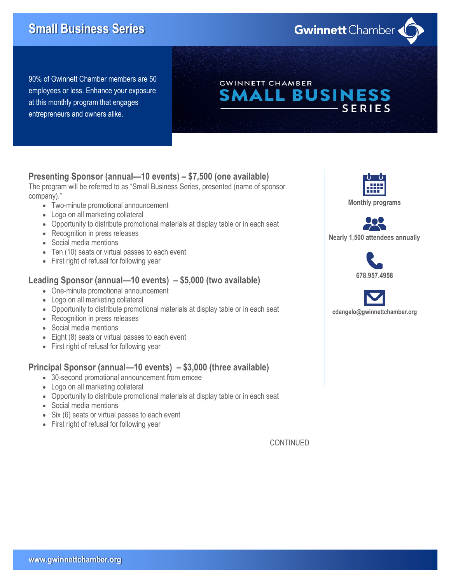# **Small Business Series**

**Gwinnett** Chamber

90% of Gwinnett Chamber members are 50 employees or less. Enhance your exposure at this monthly program that engages entrepreneurs and owners alike.

## **GWINNETT CHAMBER** SMALL BUSINESS **SERIES**

#### **Presenting Sponsor (annual—10 events) – \$7,500 (one available)**

The program will be referred to as "Small Business Series, presented (name of sponsor company)."

- Two-minute promotional announcement
- Logo on all marketing collateral
- Opportunity to distribute promotional materials at display table or in each seat
- Recognition in press releases
- Social media mentions
- Ten (10) seats or virtual passes to each event
- First right of refusal for following year

#### **Leading Sponsor (annual—10 events) – \$5,000 (two available)**

- One-minute promotional announcement
- Logo on all marketing collateral
- Opportunity to distribute promotional materials at display table or in each seat
- Recognition in press releases
- Social media mentions
- Eight (8) seats or virtual passes to each event
- First right of refusal for following year

#### **Principal Sponsor (annual—10 events) – \$3,000 (three available)**

- 30-second promotional announcement from emcee
- Logo on all marketing collateral
- Opportunity to distribute promotional materials at display table or in each seat
- Social media mentions
- Six (6) seats or virtual passes to each event
- First right of refusal for following year

CONTINUED